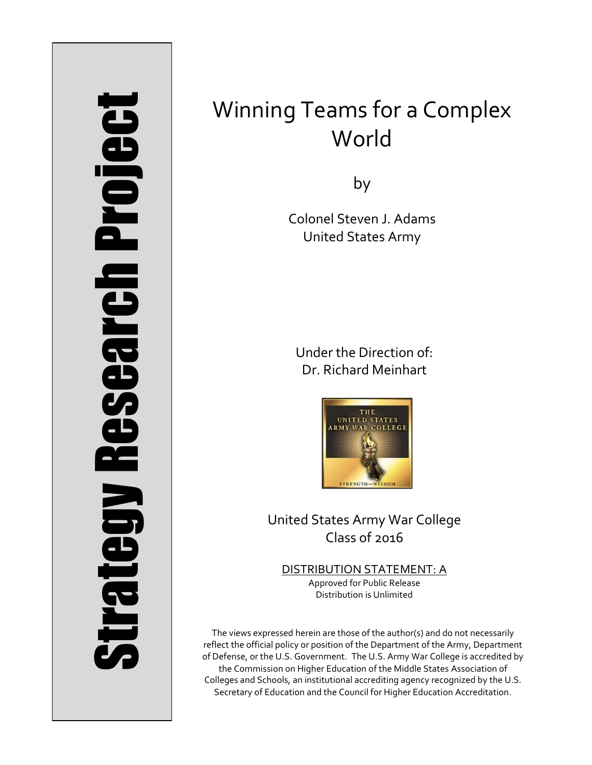# Strategy Research Project **Strategy Research Project**

# Winning Teams for a Complex World

by

Colonel Steven J. Adams United States Army

Under the Direction of: Dr. Richard Meinhart



United States Army War College Class of 2016

DISTRIBUTION STATEMENT: A Approved for Public Release Distribution is Unlimited

The views expressed herein are those of the author(s) and do not necessarily reflect the official policy or position of the Department of the Army, Department of Defense, or the U.S. Government. The U.S. Army War College is accredited by the Commission on Higher Education of the Middle States Association of Colleges and Schools, an institutional accrediting agency recognized by the U.S. Secretary of Education and the Council for Higher Education Accreditation.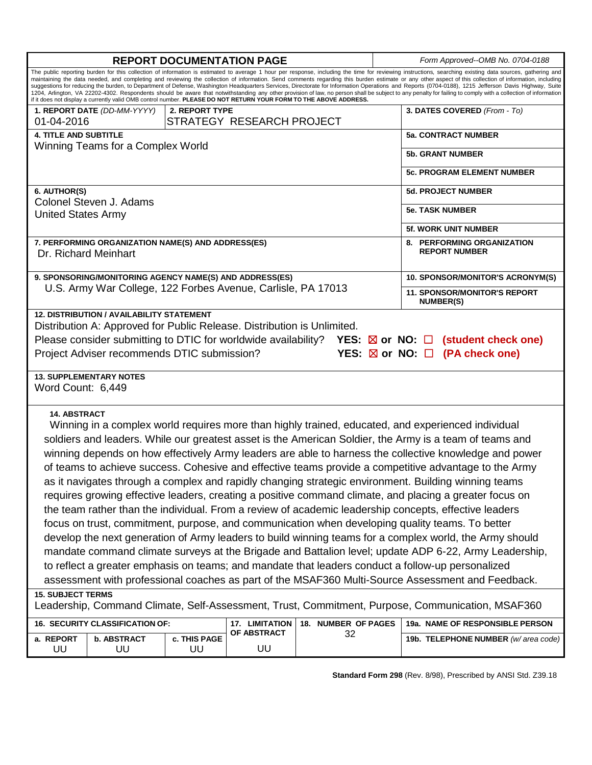| <b>REPORT DOCUMENTATION PAGE</b>                                                                                                                                                                                                                                                                                                                                                                                                                                                                                                                                                                                                                                                                                                                                                                                                                                                                                                                                                                                                                                                                                                                                                                                                                                                                                     |                           |                   |                     | Form Approved--OMB No. 0704-0188 |                                                         |
|----------------------------------------------------------------------------------------------------------------------------------------------------------------------------------------------------------------------------------------------------------------------------------------------------------------------------------------------------------------------------------------------------------------------------------------------------------------------------------------------------------------------------------------------------------------------------------------------------------------------------------------------------------------------------------------------------------------------------------------------------------------------------------------------------------------------------------------------------------------------------------------------------------------------------------------------------------------------------------------------------------------------------------------------------------------------------------------------------------------------------------------------------------------------------------------------------------------------------------------------------------------------------------------------------------------------|---------------------------|-------------------|---------------------|----------------------------------|---------------------------------------------------------|
| The public reporting burden for this collection of information is estimated to average 1 hour per response, including the time for reviewing instructions, searching existing data sources, gathering and<br>maintaining the data needed, and completing and reviewing the collection of information. Send comments regarding this burden estimate or any other aspect of this collection of information, including<br>suggestions for reducing the burden, to Department of Defense, Washington Headquarters Services, Directorate for Information Operations and Reports (0704-0188), 1215 Jefferson Davis Highway, Suite<br>1204, Arlington, VA 22202-4302. Respondents should be aware that notwithstanding any other provision of law, no person shall be subject to any penalty for failing to comply with a collection of information<br>if it does not display a currently valid OMB control number. PLEASE DO NOT RETURN YOUR FORM TO THE ABOVE ADDRESS.                                                                                                                                                                                                                                                                                                                                                    |                           |                   |                     |                                  |                                                         |
| 1. REPORT DATE (DD-MM-YYYY)                                                                                                                                                                                                                                                                                                                                                                                                                                                                                                                                                                                                                                                                                                                                                                                                                                                                                                                                                                                                                                                                                                                                                                                                                                                                                          | 2. REPORT TYPE            |                   |                     | 3. DATES COVERED (From - To)     |                                                         |
| 01-04-2016                                                                                                                                                                                                                                                                                                                                                                                                                                                                                                                                                                                                                                                                                                                                                                                                                                                                                                                                                                                                                                                                                                                                                                                                                                                                                                           | STRATEGY RESEARCH PROJECT |                   |                     |                                  |                                                         |
| <b>4. TITLE AND SUBTITLE</b><br>Winning Teams for a Complex World                                                                                                                                                                                                                                                                                                                                                                                                                                                                                                                                                                                                                                                                                                                                                                                                                                                                                                                                                                                                                                                                                                                                                                                                                                                    |                           |                   |                     |                                  | <b>5a. CONTRACT NUMBER</b>                              |
|                                                                                                                                                                                                                                                                                                                                                                                                                                                                                                                                                                                                                                                                                                                                                                                                                                                                                                                                                                                                                                                                                                                                                                                                                                                                                                                      |                           |                   |                     |                                  | <b>5b. GRANT NUMBER</b>                                 |
|                                                                                                                                                                                                                                                                                                                                                                                                                                                                                                                                                                                                                                                                                                                                                                                                                                                                                                                                                                                                                                                                                                                                                                                                                                                                                                                      |                           |                   |                     |                                  | <b>5c. PROGRAM ELEMENT NUMBER</b>                       |
| 6. AUTHOR(S)                                                                                                                                                                                                                                                                                                                                                                                                                                                                                                                                                                                                                                                                                                                                                                                                                                                                                                                                                                                                                                                                                                                                                                                                                                                                                                         |                           |                   |                     |                                  | <b>5d. PROJECT NUMBER</b>                               |
| Colonel Steven J. Adams<br><b>United States Army</b>                                                                                                                                                                                                                                                                                                                                                                                                                                                                                                                                                                                                                                                                                                                                                                                                                                                                                                                                                                                                                                                                                                                                                                                                                                                                 |                           |                   |                     |                                  | <b>5e. TASK NUMBER</b>                                  |
|                                                                                                                                                                                                                                                                                                                                                                                                                                                                                                                                                                                                                                                                                                                                                                                                                                                                                                                                                                                                                                                                                                                                                                                                                                                                                                                      |                           |                   |                     |                                  | <b>5f. WORK UNIT NUMBER</b>                             |
| 7. PERFORMING ORGANIZATION NAME(S) AND ADDRESS(ES)<br>Dr. Richard Meinhart                                                                                                                                                                                                                                                                                                                                                                                                                                                                                                                                                                                                                                                                                                                                                                                                                                                                                                                                                                                                                                                                                                                                                                                                                                           |                           |                   |                     |                                  | 8. PERFORMING ORGANIZATION<br><b>REPORT NUMBER</b>      |
| 9. SPONSORING/MONITORING AGENCY NAME(S) AND ADDRESS(ES)<br>U.S. Army War College, 122 Forbes Avenue, Carlisle, PA 17013                                                                                                                                                                                                                                                                                                                                                                                                                                                                                                                                                                                                                                                                                                                                                                                                                                                                                                                                                                                                                                                                                                                                                                                              |                           |                   |                     |                                  | 10. SPONSOR/MONITOR'S ACRONYM(S)                        |
|                                                                                                                                                                                                                                                                                                                                                                                                                                                                                                                                                                                                                                                                                                                                                                                                                                                                                                                                                                                                                                                                                                                                                                                                                                                                                                                      |                           |                   |                     |                                  | <b>11. SPONSOR/MONITOR'S REPORT</b><br><b>NUMBER(S)</b> |
| <b>12. DISTRIBUTION / AVAILABILITY STATEMENT</b><br>Distribution A: Approved for Public Release. Distribution is Unlimited.<br>Please consider submitting to DTIC for worldwide availability? YES: $\boxtimes$ or NO: $\Box$ (student check one)<br>Project Adviser recommends DTIC submission?<br>YES: $\boxtimes$ or NO: $\Box$ (PA check one)                                                                                                                                                                                                                                                                                                                                                                                                                                                                                                                                                                                                                                                                                                                                                                                                                                                                                                                                                                     |                           |                   |                     |                                  |                                                         |
| <b>13. SUPPLEMENTARY NOTES</b><br>Word Count: 6,449                                                                                                                                                                                                                                                                                                                                                                                                                                                                                                                                                                                                                                                                                                                                                                                                                                                                                                                                                                                                                                                                                                                                                                                                                                                                  |                           |                   |                     |                                  |                                                         |
| <b>14. ABSTRACT</b><br>Winning in a complex world requires more than highly trained, educated, and experienced individual<br>soldiers and leaders. While our greatest asset is the American Soldier, the Army is a team of teams and<br>winning depends on how effectively Army leaders are able to harness the collective knowledge and power<br>of teams to achieve success. Cohesive and effective teams provide a competitive advantage to the Army<br>as it navigates through a complex and rapidly changing strategic environment. Building winning teams<br>requires growing effective leaders, creating a positive command climate, and placing a greater focus on<br>the team rather than the individual. From a review of academic leadership concepts, effective leaders<br>focus on trust, commitment, purpose, and communication when developing quality teams. To better<br>develop the next generation of Army leaders to build winning teams for a complex world, the Army should<br>mandate command climate surveys at the Brigade and Battalion level; update ADP 6-22, Army Leadership,<br>to reflect a greater emphasis on teams; and mandate that leaders conduct a follow-up personalized<br>assessment with professional coaches as part of the MSAF360 Multi-Source Assessment and Feedback. |                           |                   |                     |                                  |                                                         |
| <b>15. SUBJECT TERMS</b><br>Leadership, Command Climate, Self-Assessment, Trust, Commitment, Purpose, Communication, MSAF360                                                                                                                                                                                                                                                                                                                                                                                                                                                                                                                                                                                                                                                                                                                                                                                                                                                                                                                                                                                                                                                                                                                                                                                         |                           |                   |                     |                                  |                                                         |
| 16. SECURITY CLASSIFICATION OF:                                                                                                                                                                                                                                                                                                                                                                                                                                                                                                                                                                                                                                                                                                                                                                                                                                                                                                                                                                                                                                                                                                                                                                                                                                                                                      |                           | 17. LIMITATION    | 18. NUMBER OF PAGES |                                  | 19a. NAME OF RESPONSIBLE PERSON                         |
| a. REPORT<br><b>b. ABSTRACT</b><br>UU<br>UU                                                                                                                                                                                                                                                                                                                                                                                                                                                                                                                                                                                                                                                                                                                                                                                                                                                                                                                                                                                                                                                                                                                                                                                                                                                                          | c. THIS PAGE<br>UU        | OF ABSTRACT<br>UU | 32                  |                                  | 19b. TELEPHONE NUMBER (w/area code)                     |

**Standard Form 298** (Rev. 8/98), Prescribed by ANSI Std. Z39.18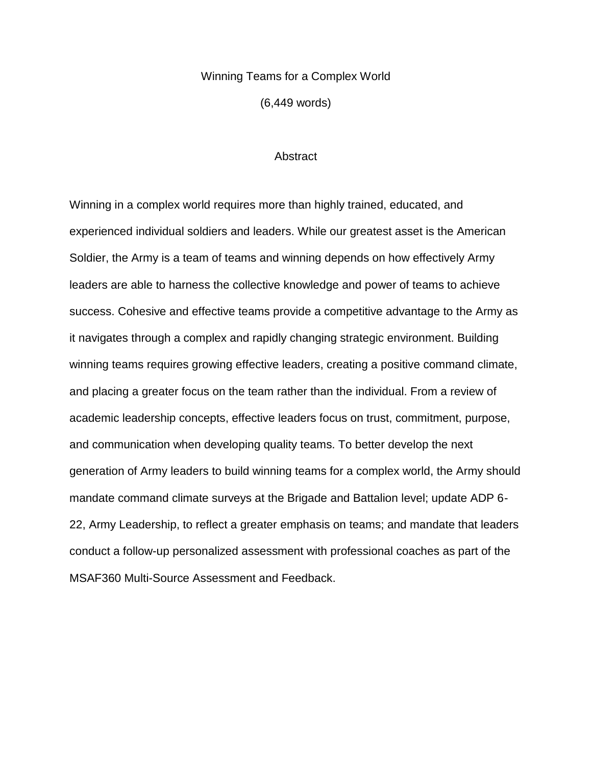#### Winning Teams for a Complex World

(6,449 words)

#### **Abstract**

Winning in a complex world requires more than highly trained, educated, and experienced individual soldiers and leaders. While our greatest asset is the American Soldier, the Army is a team of teams and winning depends on how effectively Army leaders are able to harness the collective knowledge and power of teams to achieve success. Cohesive and effective teams provide a competitive advantage to the Army as it navigates through a complex and rapidly changing strategic environment. Building winning teams requires growing effective leaders, creating a positive command climate, and placing a greater focus on the team rather than the individual. From a review of academic leadership concepts, effective leaders focus on trust, commitment, purpose, and communication when developing quality teams. To better develop the next generation of Army leaders to build winning teams for a complex world, the Army should mandate command climate surveys at the Brigade and Battalion level; update ADP 6- 22, Army Leadership, to reflect a greater emphasis on teams; and mandate that leaders conduct a follow-up personalized assessment with professional coaches as part of the MSAF360 Multi-Source Assessment and Feedback.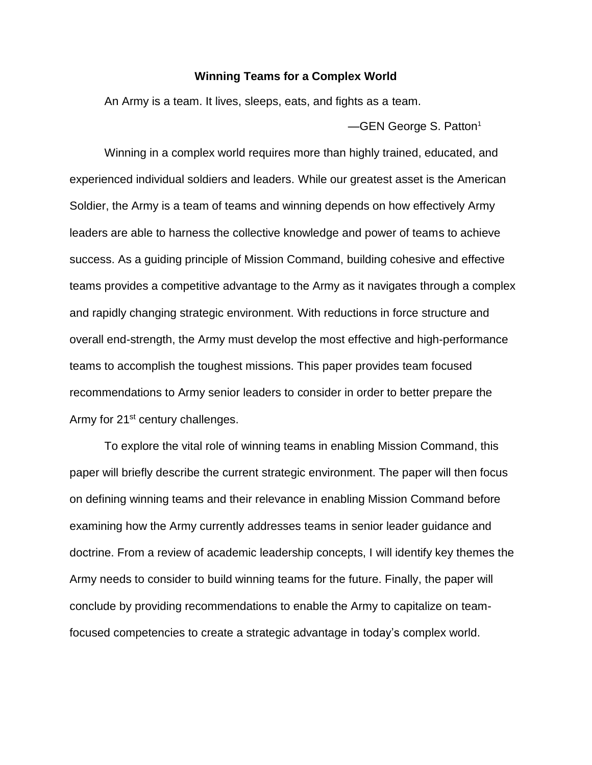#### **Winning Teams for a Complex World**

An Army is a team. It lives, sleeps, eats, and fights as a team.

—GEN George S. Patton<sup>1</sup>

Winning in a complex world requires more than highly trained, educated, and experienced individual soldiers and leaders. While our greatest asset is the American Soldier, the Army is a team of teams and winning depends on how effectively Army leaders are able to harness the collective knowledge and power of teams to achieve success. As a guiding principle of Mission Command, building cohesive and effective teams provides a competitive advantage to the Army as it navigates through a complex and rapidly changing strategic environment. With reductions in force structure and overall end-strength, the Army must develop the most effective and high-performance teams to accomplish the toughest missions. This paper provides team focused recommendations to Army senior leaders to consider in order to better prepare the Army for 21<sup>st</sup> century challenges.

To explore the vital role of winning teams in enabling Mission Command, this paper will briefly describe the current strategic environment. The paper will then focus on defining winning teams and their relevance in enabling Mission Command before examining how the Army currently addresses teams in senior leader guidance and doctrine. From a review of academic leadership concepts, I will identify key themes the Army needs to consider to build winning teams for the future. Finally, the paper will conclude by providing recommendations to enable the Army to capitalize on teamfocused competencies to create a strategic advantage in today's complex world.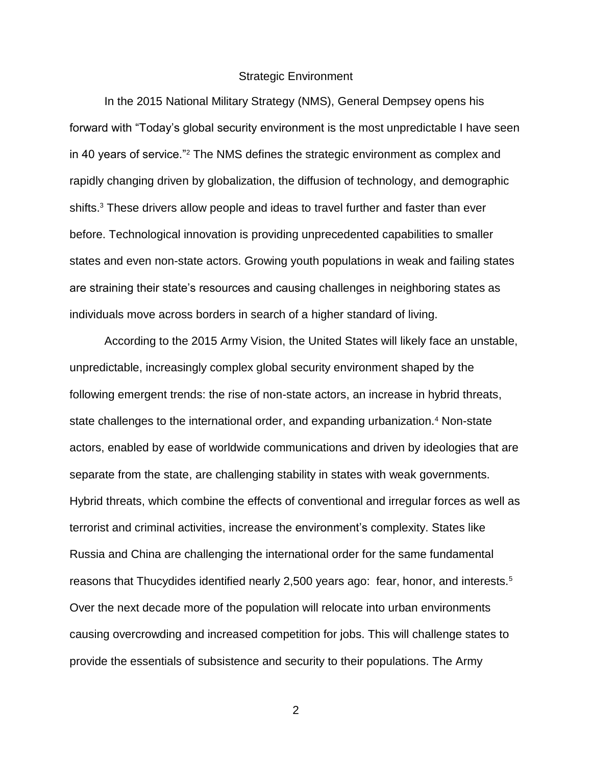#### Strategic Environment

In the 2015 National Military Strategy (NMS), General Dempsey opens his forward with "Today's global security environment is the most unpredictable I have seen in 40 years of service."<sup>2</sup> The NMS defines the strategic environment as complex and rapidly changing driven by globalization, the diffusion of technology, and demographic shifts.<sup>3</sup> These drivers allow people and ideas to travel further and faster than ever before. Technological innovation is providing unprecedented capabilities to smaller states and even non-state actors. Growing youth populations in weak and failing states are straining their state's resources and causing challenges in neighboring states as individuals move across borders in search of a higher standard of living.

According to the 2015 Army Vision, the United States will likely face an unstable, unpredictable, increasingly complex global security environment shaped by the following emergent trends: the rise of non-state actors, an increase in hybrid threats, state challenges to the international order, and expanding urbanization.<sup>4</sup> Non-state actors, enabled by ease of worldwide communications and driven by ideologies that are separate from the state, are challenging stability in states with weak governments. Hybrid threats, which combine the effects of conventional and irregular forces as well as terrorist and criminal activities, increase the environment's complexity. States like Russia and China are challenging the international order for the same fundamental reasons that Thucydides identified nearly 2,500 years ago: fear, honor, and interests.<sup>5</sup> Over the next decade more of the population will relocate into urban environments causing overcrowding and increased competition for jobs. This will challenge states to provide the essentials of subsistence and security to their populations. The Army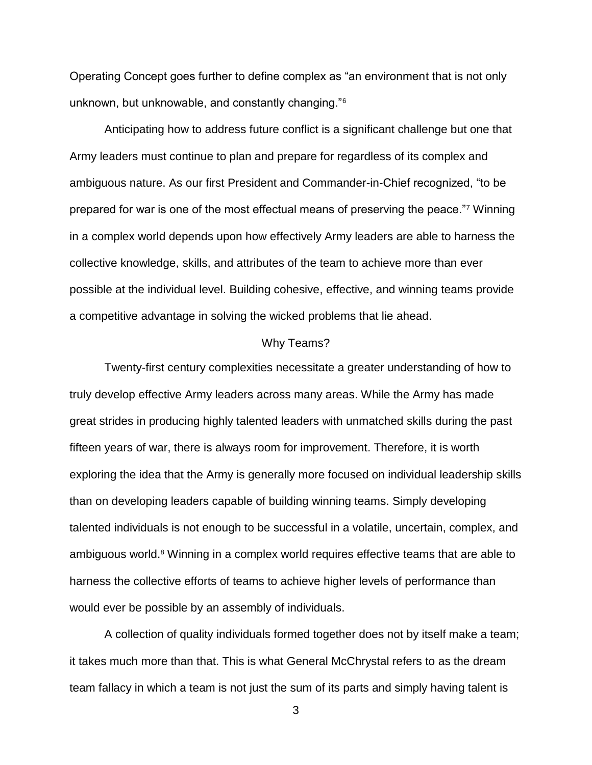Operating Concept goes further to define complex as "an environment that is not only unknown, but unknowable, and constantly changing."<sup>6</sup>

Anticipating how to address future conflict is a significant challenge but one that Army leaders must continue to plan and prepare for regardless of its complex and ambiguous nature. As our first President and Commander-in-Chief recognized, "to be prepared for war is one of the most effectual means of preserving the peace."<sup>7</sup> Winning in a complex world depends upon how effectively Army leaders are able to harness the collective knowledge, skills, and attributes of the team to achieve more than ever possible at the individual level. Building cohesive, effective, and winning teams provide a competitive advantage in solving the wicked problems that lie ahead.

### Why Teams?

Twenty-first century complexities necessitate a greater understanding of how to truly develop effective Army leaders across many areas. While the Army has made great strides in producing highly talented leaders with unmatched skills during the past fifteen years of war, there is always room for improvement. Therefore, it is worth exploring the idea that the Army is generally more focused on individual leadership skills than on developing leaders capable of building winning teams. Simply developing talented individuals is not enough to be successful in a volatile, uncertain, complex, and ambiguous world.<sup>8</sup> Winning in a complex world requires effective teams that are able to harness the collective efforts of teams to achieve higher levels of performance than would ever be possible by an assembly of individuals.

A collection of quality individuals formed together does not by itself make a team; it takes much more than that. This is what General McChrystal refers to as the dream team fallacy in which a team is not just the sum of its parts and simply having talent is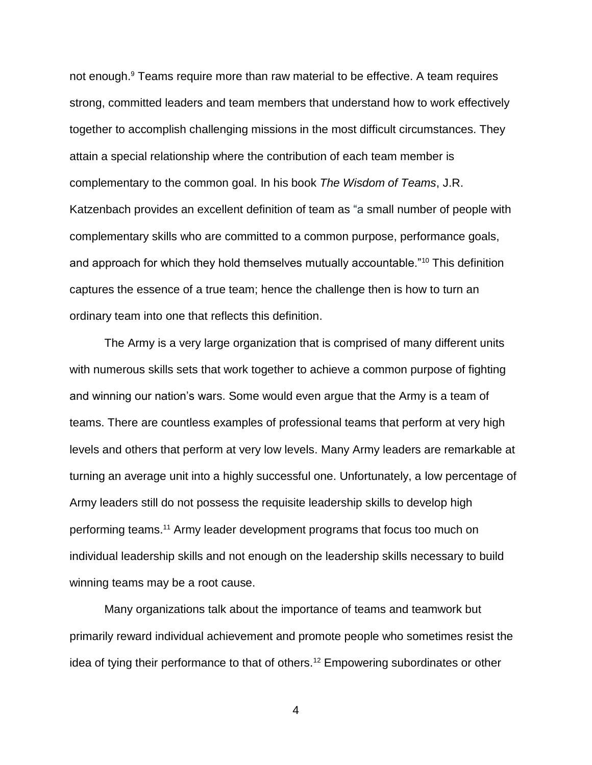not enough.<sup>9</sup> Teams require more than raw material to be effective. A team requires strong, committed leaders and team members that understand how to work effectively together to accomplish challenging missions in the most difficult circumstances. They attain a special relationship where the contribution of each team member is complementary to the common goal. In his book *The Wisdom of Teams*, J.R. Katzenbach provides an excellent definition of team as "a small number of people with complementary skills who are committed to a common purpose, performance goals, and approach for which they hold themselves mutually accountable."<sup>10</sup> This definition captures the essence of a true team; hence the challenge then is how to turn an ordinary team into one that reflects this definition.

The Army is a very large organization that is comprised of many different units with numerous skills sets that work together to achieve a common purpose of fighting and winning our nation's wars. Some would even argue that the Army is a team of teams. There are countless examples of professional teams that perform at very high levels and others that perform at very low levels. Many Army leaders are remarkable at turning an average unit into a highly successful one. Unfortunately, a low percentage of Army leaders still do not possess the requisite leadership skills to develop high performing teams.<sup>11</sup> Army leader development programs that focus too much on individual leadership skills and not enough on the leadership skills necessary to build winning teams may be a root cause.

Many organizations talk about the importance of teams and teamwork but primarily reward individual achievement and promote people who sometimes resist the idea of tying their performance to that of others.<sup>12</sup> Empowering subordinates or other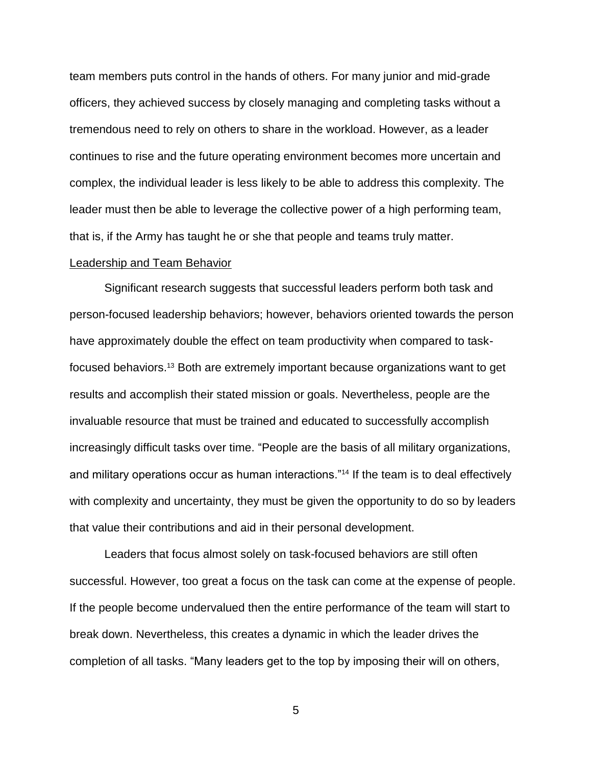team members puts control in the hands of others. For many junior and mid-grade officers, they achieved success by closely managing and completing tasks without a tremendous need to rely on others to share in the workload. However, as a leader continues to rise and the future operating environment becomes more uncertain and complex, the individual leader is less likely to be able to address this complexity. The leader must then be able to leverage the collective power of a high performing team, that is, if the Army has taught he or she that people and teams truly matter.

#### Leadership and Team Behavior

Significant research suggests that successful leaders perform both task and person-focused leadership behaviors; however, behaviors oriented towards the person have approximately double the effect on team productivity when compared to taskfocused behaviors.<sup>13</sup> Both are extremely important because organizations want to get results and accomplish their stated mission or goals. Nevertheless, people are the invaluable resource that must be trained and educated to successfully accomplish increasingly difficult tasks over time. "People are the basis of all military organizations, and military operations occur as human interactions."<sup>14</sup> If the team is to deal effectively with complexity and uncertainty, they must be given the opportunity to do so by leaders that value their contributions and aid in their personal development.

Leaders that focus almost solely on task-focused behaviors are still often successful. However, too great a focus on the task can come at the expense of people. If the people become undervalued then the entire performance of the team will start to break down. Nevertheless, this creates a dynamic in which the leader drives the completion of all tasks. "Many leaders get to the top by imposing their will on others,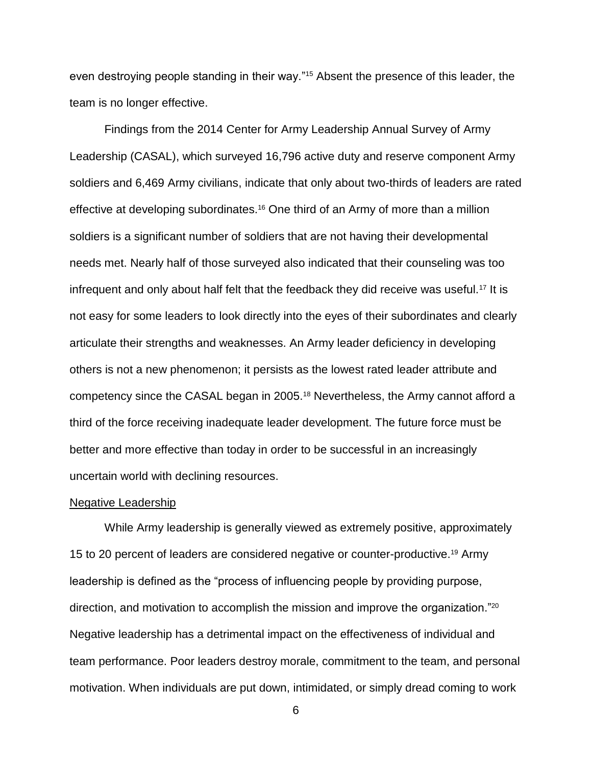even destroying people standing in their way."<sup>15</sup> Absent the presence of this leader, the team is no longer effective.

Findings from the 2014 Center for Army Leadership Annual Survey of Army Leadership (CASAL), which surveyed 16,796 active duty and reserve component Army soldiers and 6,469 Army civilians, indicate that only about two-thirds of leaders are rated effective at developing subordinates.<sup>16</sup> One third of an Army of more than a million soldiers is a significant number of soldiers that are not having their developmental needs met. Nearly half of those surveyed also indicated that their counseling was too infrequent and only about half felt that the feedback they did receive was useful.<sup>17</sup> It is not easy for some leaders to look directly into the eyes of their subordinates and clearly articulate their strengths and weaknesses. An Army leader deficiency in developing others is not a new phenomenon; it persists as the lowest rated leader attribute and competency since the CASAL began in 2005.<sup>18</sup> Nevertheless, the Army cannot afford a third of the force receiving inadequate leader development. The future force must be better and more effective than today in order to be successful in an increasingly uncertain world with declining resources.

#### Negative Leadership

While Army leadership is generally viewed as extremely positive, approximately 15 to 20 percent of leaders are considered negative or counter-productive.<sup>19</sup> Army leadership is defined as the "process of influencing people by providing purpose, direction, and motivation to accomplish the mission and improve the organization."<sup>20</sup> Negative leadership has a detrimental impact on the effectiveness of individual and team performance. Poor leaders destroy morale, commitment to the team, and personal motivation. When individuals are put down, intimidated, or simply dread coming to work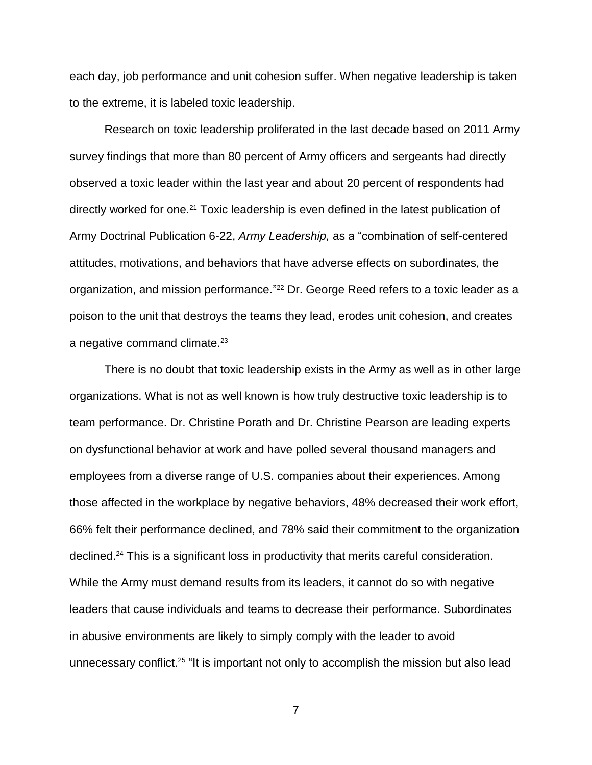each day, job performance and unit cohesion suffer. When negative leadership is taken to the extreme, it is labeled toxic leadership.

Research on toxic leadership proliferated in the last decade based on 2011 Army survey findings that more than 80 percent of Army officers and sergeants had directly observed a toxic leader within the last year and about 20 percent of respondents had directly worked for one.<sup>21</sup> Toxic leadership is even defined in the latest publication of Army Doctrinal Publication 6-22, *Army Leadership,* as a "combination of self-centered attitudes, motivations, and behaviors that have adverse effects on subordinates, the organization, and mission performance." <sup>22</sup> Dr. George Reed refers to a toxic leader as a poison to the unit that destroys the teams they lead, erodes unit cohesion, and creates a negative command climate.<sup>23</sup>

There is no doubt that toxic leadership exists in the Army as well as in other large organizations. What is not as well known is how truly destructive toxic leadership is to team performance. Dr. Christine Porath and Dr. Christine Pearson are leading experts on dysfunctional behavior at work and have polled several thousand managers and employees from a diverse range of U.S. companies about their experiences. Among those affected in the workplace by negative behaviors, 48% decreased their work effort, 66% felt their performance declined, and 78% said their commitment to the organization declined.<sup>24</sup> This is a significant loss in productivity that merits careful consideration. While the Army must demand results from its leaders, it cannot do so with negative leaders that cause individuals and teams to decrease their performance. Subordinates in abusive environments are likely to simply comply with the leader to avoid unnecessary conflict.<sup>25</sup> "It is important not only to accomplish the mission but also lead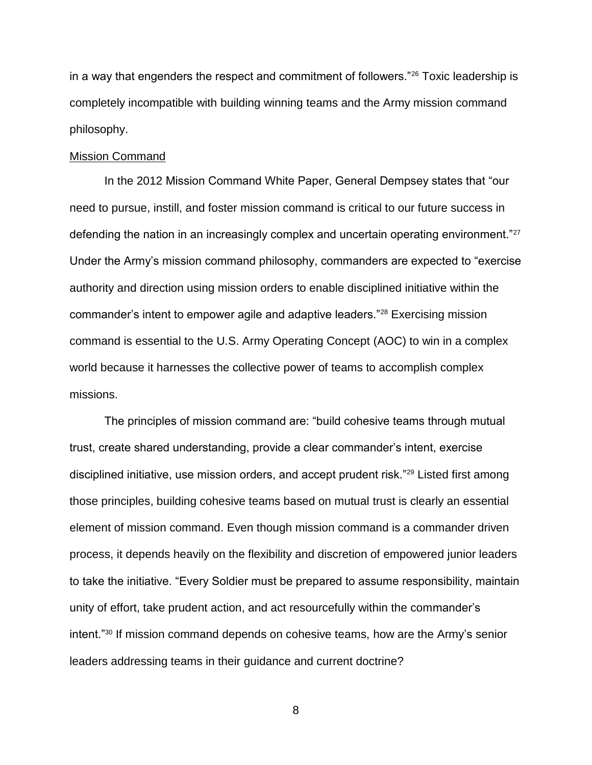in a way that engenders the respect and commitment of followers."<sup>26</sup> Toxic leadership is completely incompatible with building winning teams and the Army mission command philosophy.

#### Mission Command

In the 2012 Mission Command White Paper, General Dempsey states that "our need to pursue, instill, and foster mission command is critical to our future success in defending the nation in an increasingly complex and uncertain operating environment."<sup>27</sup> Under the Army's mission command philosophy, commanders are expected to "exercise authority and direction using mission orders to enable disciplined initiative within the commander's intent to empower agile and adaptive leaders."<sup>28</sup> Exercising mission command is essential to the U.S. Army Operating Concept (AOC) to win in a complex world because it harnesses the collective power of teams to accomplish complex missions.

The principles of mission command are: "build cohesive teams through mutual trust, create shared understanding, provide a clear commander's intent, exercise disciplined initiative, use mission orders, and accept prudent risk."<sup>29</sup> Listed first among those principles, building cohesive teams based on mutual trust is clearly an essential element of mission command. Even though mission command is a commander driven process, it depends heavily on the flexibility and discretion of empowered junior leaders to take the initiative. "Every Soldier must be prepared to assume responsibility, maintain unity of effort, take prudent action, and act resourcefully within the commander's intent."<sup>30</sup> If mission command depends on cohesive teams, how are the Army's senior leaders addressing teams in their guidance and current doctrine?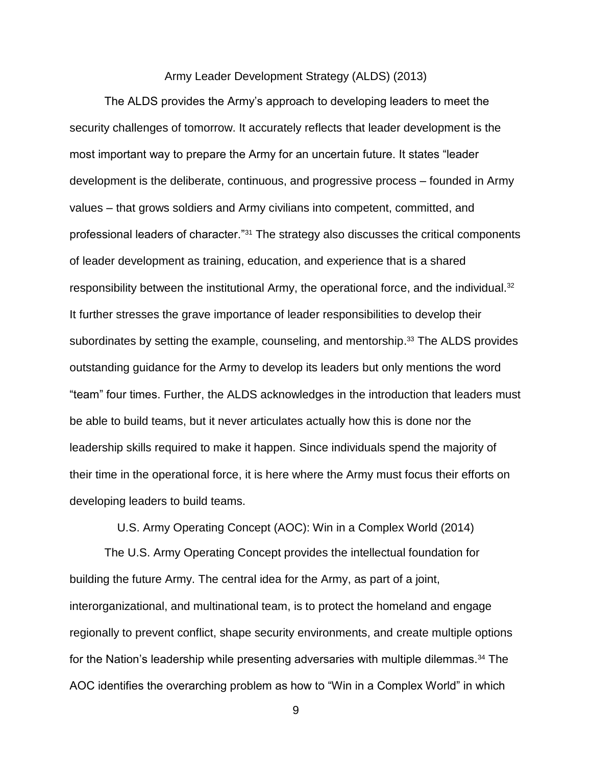#### Army Leader Development Strategy (ALDS) (2013)

The ALDS provides the Army's approach to developing leaders to meet the security challenges of tomorrow. It accurately reflects that leader development is the most important way to prepare the Army for an uncertain future. It states "leader development is the deliberate, continuous, and progressive process – founded in Army values – that grows soldiers and Army civilians into competent, committed, and professional leaders of character."<sup>31</sup> The strategy also discusses the critical components of leader development as training, education, and experience that is a shared responsibility between the institutional Army, the operational force, and the individual. $32$ It further stresses the grave importance of leader responsibilities to develop their subordinates by setting the example, counseling, and mentorship. <sup>33</sup> The ALDS provides outstanding guidance for the Army to develop its leaders but only mentions the word "team" four times. Further, the ALDS acknowledges in the introduction that leaders must be able to build teams, but it never articulates actually how this is done nor the leadership skills required to make it happen. Since individuals spend the majority of their time in the operational force, it is here where the Army must focus their efforts on developing leaders to build teams.

U.S. Army Operating Concept (AOC): Win in a Complex World (2014)

The U.S. Army Operating Concept provides the intellectual foundation for building the future Army. The central idea for the Army, as part of a joint, interorganizational, and multinational team, is to protect the homeland and engage regionally to prevent conflict, shape security environments, and create multiple options for the Nation's leadership while presenting adversaries with multiple dilemmas. $34$  The AOC identifies the overarching problem as how to "Win in a Complex World" in which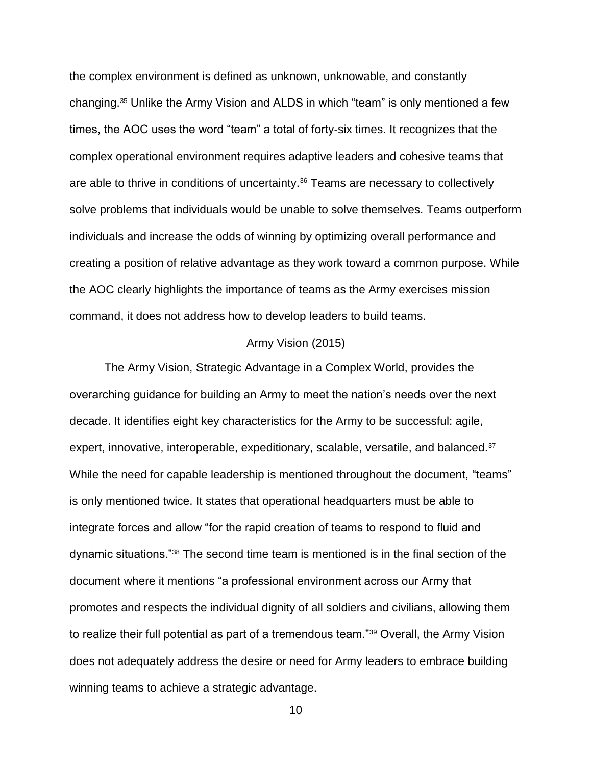the complex environment is defined as unknown, unknowable, and constantly changing.<sup>35</sup> Unlike the Army Vision and ALDS in which "team" is only mentioned a few times, the AOC uses the word "team" a total of forty-six times. It recognizes that the complex operational environment requires adaptive leaders and cohesive teams that are able to thrive in conditions of uncertainty.<sup>36</sup> Teams are necessary to collectively solve problems that individuals would be unable to solve themselves. Teams outperform individuals and increase the odds of winning by optimizing overall performance and creating a position of relative advantage as they work toward a common purpose. While the AOC clearly highlights the importance of teams as the Army exercises mission command, it does not address how to develop leaders to build teams.

#### Army Vision (2015)

The Army Vision, Strategic Advantage in a Complex World, provides the overarching guidance for building an Army to meet the nation's needs over the next decade. It identifies eight key characteristics for the Army to be successful: agile, expert, innovative, interoperable, expeditionary, scalable, versatile, and balanced.<sup>37</sup> While the need for capable leadership is mentioned throughout the document, "teams" is only mentioned twice. It states that operational headquarters must be able to integrate forces and allow "for the rapid creation of teams to respond to fluid and dynamic situations."<sup>38</sup> The second time team is mentioned is in the final section of the document where it mentions "a professional environment across our Army that promotes and respects the individual dignity of all soldiers and civilians, allowing them to realize their full potential as part of a tremendous team."<sup>39</sup> Overall, the Army Vision does not adequately address the desire or need for Army leaders to embrace building winning teams to achieve a strategic advantage.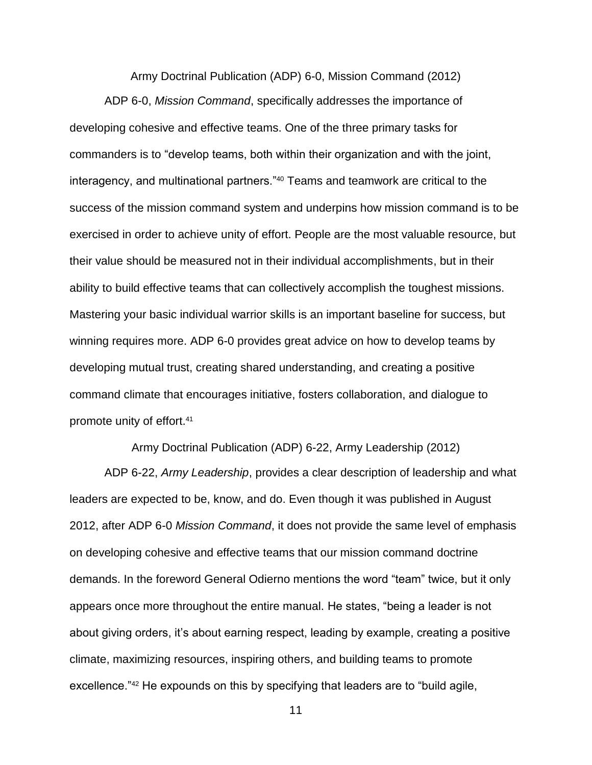Army Doctrinal Publication (ADP) 6-0, Mission Command (2012)

ADP 6-0, *Mission Command*, specifically addresses the importance of developing cohesive and effective teams. One of the three primary tasks for commanders is to "develop teams, both within their organization and with the joint, interagency, and multinational partners."<sup>40</sup> Teams and teamwork are critical to the success of the mission command system and underpins how mission command is to be exercised in order to achieve unity of effort. People are the most valuable resource, but their value should be measured not in their individual accomplishments, but in their ability to build effective teams that can collectively accomplish the toughest missions. Mastering your basic individual warrior skills is an important baseline for success, but winning requires more. ADP 6-0 provides great advice on how to develop teams by developing mutual trust, creating shared understanding, and creating a positive command climate that encourages initiative, fosters collaboration, and dialogue to promote unity of effort.<sup>41</sup>

Army Doctrinal Publication (ADP) 6-22, Army Leadership (2012)

ADP 6-22, *Army Leadership*, provides a clear description of leadership and what leaders are expected to be, know, and do. Even though it was published in August 2012, after ADP 6-0 *Mission Command*, it does not provide the same level of emphasis on developing cohesive and effective teams that our mission command doctrine demands. In the foreword General Odierno mentions the word "team" twice, but it only appears once more throughout the entire manual. He states, "being a leader is not about giving orders, it's about earning respect, leading by example, creating a positive climate, maximizing resources, inspiring others, and building teams to promote excellence."<sup>42</sup> He expounds on this by specifying that leaders are to "build agile,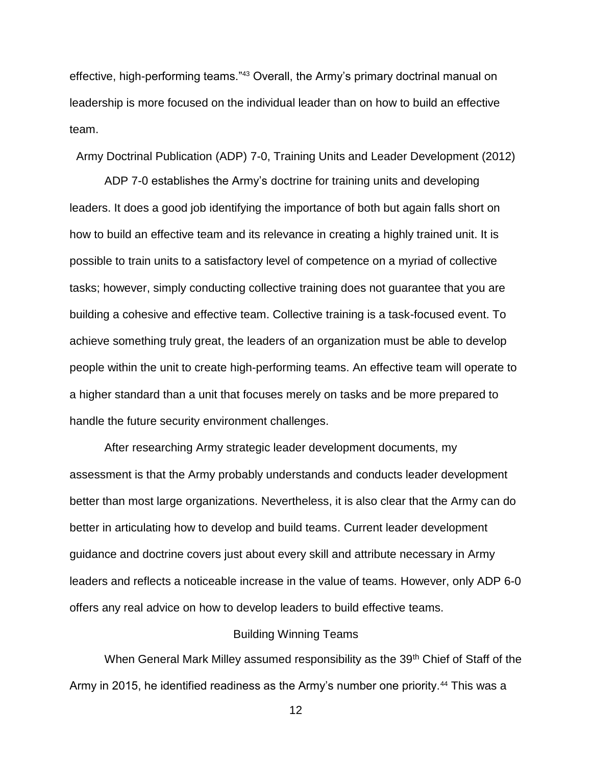effective, high-performing teams."<sup>43</sup> Overall, the Army's primary doctrinal manual on leadership is more focused on the individual leader than on how to build an effective team.

Army Doctrinal Publication (ADP) 7-0, Training Units and Leader Development (2012)

ADP 7-0 establishes the Army's doctrine for training units and developing leaders. It does a good job identifying the importance of both but again falls short on how to build an effective team and its relevance in creating a highly trained unit. It is possible to train units to a satisfactory level of competence on a myriad of collective tasks; however, simply conducting collective training does not guarantee that you are building a cohesive and effective team. Collective training is a task-focused event. To achieve something truly great, the leaders of an organization must be able to develop people within the unit to create high-performing teams. An effective team will operate to a higher standard than a unit that focuses merely on tasks and be more prepared to handle the future security environment challenges.

After researching Army strategic leader development documents, my assessment is that the Army probably understands and conducts leader development better than most large organizations. Nevertheless, it is also clear that the Army can do better in articulating how to develop and build teams. Current leader development guidance and doctrine covers just about every skill and attribute necessary in Army leaders and reflects a noticeable increase in the value of teams. However, only ADP 6-0 offers any real advice on how to develop leaders to build effective teams.

# Building Winning Teams

When General Mark Milley assumed responsibility as the 39<sup>th</sup> Chief of Staff of the Army in 2015, he identified readiness as the Army's number one priority.<sup>44</sup> This was a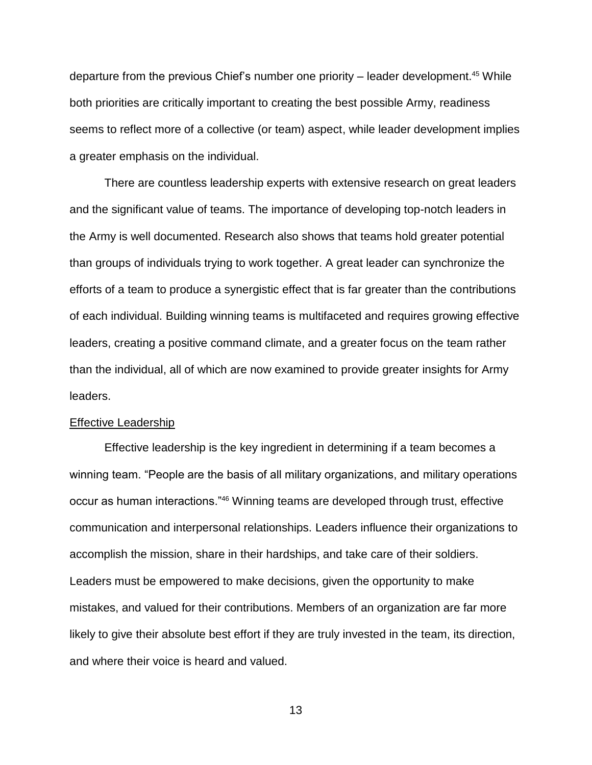departure from the previous Chief's number one priority – leader development.<sup>45</sup> While both priorities are critically important to creating the best possible Army, readiness seems to reflect more of a collective (or team) aspect, while leader development implies a greater emphasis on the individual.

There are countless leadership experts with extensive research on great leaders and the significant value of teams. The importance of developing top-notch leaders in the Army is well documented. Research also shows that teams hold greater potential than groups of individuals trying to work together. A great leader can synchronize the efforts of a team to produce a synergistic effect that is far greater than the contributions of each individual. Building winning teams is multifaceted and requires growing effective leaders, creating a positive command climate, and a greater focus on the team rather than the individual, all of which are now examined to provide greater insights for Army leaders.

#### Effective Leadership

Effective leadership is the key ingredient in determining if a team becomes a winning team. "People are the basis of all military organizations, and military operations occur as human interactions."<sup>46</sup> Winning teams are developed through trust, effective communication and interpersonal relationships. Leaders influence their organizations to accomplish the mission, share in their hardships, and take care of their soldiers. Leaders must be empowered to make decisions, given the opportunity to make mistakes, and valued for their contributions. Members of an organization are far more likely to give their absolute best effort if they are truly invested in the team, its direction, and where their voice is heard and valued.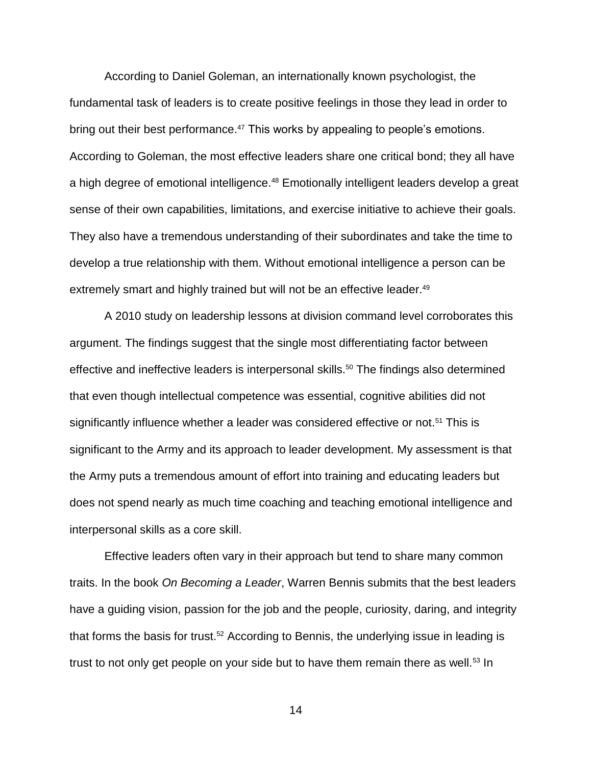According to Daniel Goleman, an internationally known psychologist, the fundamental task of leaders is to create positive feelings in those they lead in order to bring out their best performance.<sup>47</sup> This works by appealing to people's emotions. According to Goleman, the most effective leaders share one critical bond; they all have a high degree of emotional intelligence.<sup>48</sup> Emotionally intelligent leaders develop a great sense of their own capabilities, limitations, and exercise initiative to achieve their goals. They also have a tremendous understanding of their subordinates and take the time to develop a true relationship with them. Without emotional intelligence a person can be extremely smart and highly trained but will not be an effective leader.<sup>49</sup>

A 2010 study on leadership lessons at division command level corroborates this argument. The findings suggest that the single most differentiating factor between effective and ineffective leaders is interpersonal skills.<sup>50</sup> The findings also determined that even though intellectual competence was essential, cognitive abilities did not significantly influence whether a leader was considered effective or not.<sup>51</sup> This is significant to the Army and its approach to leader development. My assessment is that the Army puts a tremendous amount of effort into training and educating leaders but does not spend nearly as much time coaching and teaching emotional intelligence and interpersonal skills as a core skill.

Effective leaders often vary in their approach but tend to share many common traits. In the book *On Becoming a Leader*, Warren Bennis submits that the best leaders have a guiding vision, passion for the job and the people, curiosity, daring, and integrity that forms the basis for trust.<sup>52</sup> According to Bennis, the underlying issue in leading is trust to not only get people on your side but to have them remain there as well.<sup>53</sup> In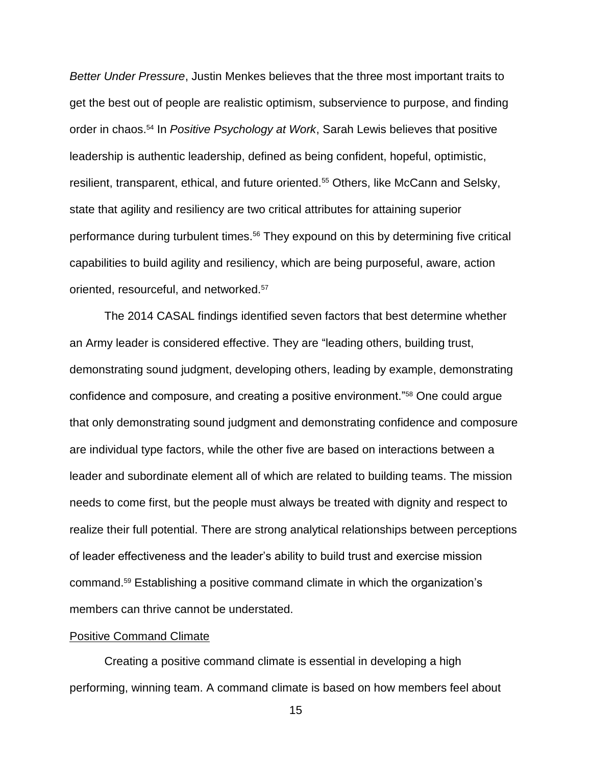*Better Under Pressure*, Justin Menkes believes that the three most important traits to get the best out of people are realistic optimism, subservience to purpose, and finding order in chaos.<sup>54</sup> In *Positive Psychology at Work*, Sarah Lewis believes that positive leadership is authentic leadership, defined as being confident, hopeful, optimistic, resilient, transparent, ethical, and future oriented.<sup>55</sup> Others, like McCann and Selsky, state that agility and resiliency are two critical attributes for attaining superior performance during turbulent times.<sup>56</sup> They expound on this by determining five critical capabilities to build agility and resiliency, which are being purposeful, aware, action oriented, resourceful, and networked.<sup>57</sup>

The 2014 CASAL findings identified seven factors that best determine whether an Army leader is considered effective. They are "leading others, building trust, demonstrating sound judgment, developing others, leading by example, demonstrating confidence and composure, and creating a positive environment."<sup>58</sup> One could argue that only demonstrating sound judgment and demonstrating confidence and composure are individual type factors, while the other five are based on interactions between a leader and subordinate element all of which are related to building teams. The mission needs to come first, but the people must always be treated with dignity and respect to realize their full potential. There are strong analytical relationships between perceptions of leader effectiveness and the leader's ability to build trust and exercise mission command.<sup>59</sup> Establishing a positive command climate in which the organization's members can thrive cannot be understated.

#### Positive Command Climate

Creating a positive command climate is essential in developing a high performing, winning team. A command climate is based on how members feel about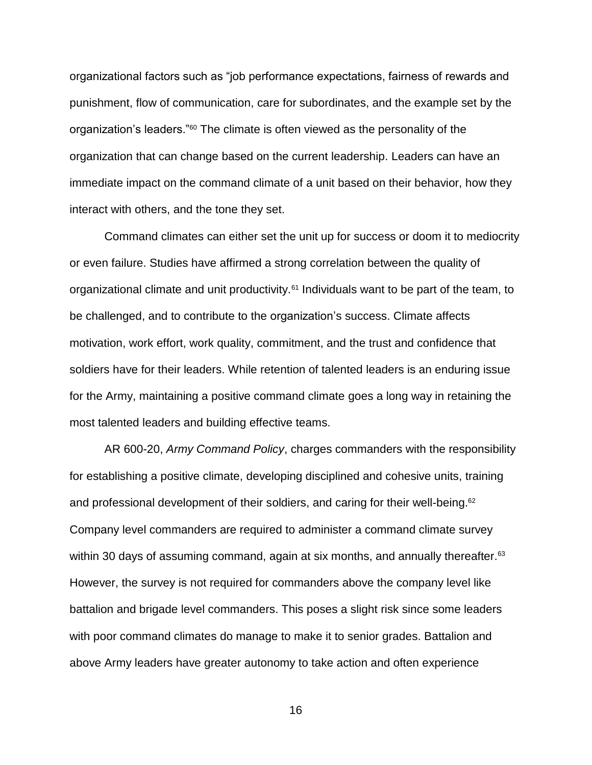organizational factors such as "job performance expectations, fairness of rewards and punishment, flow of communication, care for subordinates, and the example set by the organization's leaders."<sup>60</sup> The climate is often viewed as the personality of the organization that can change based on the current leadership. Leaders can have an immediate impact on the command climate of a unit based on their behavior, how they interact with others, and the tone they set.

Command climates can either set the unit up for success or doom it to mediocrity or even failure. Studies have affirmed a strong correlation between the quality of organizational climate and unit productivity.<sup>61</sup> Individuals want to be part of the team, to be challenged, and to contribute to the organization's success. Climate affects motivation, work effort, work quality, commitment, and the trust and confidence that soldiers have for their leaders. While retention of talented leaders is an enduring issue for the Army, maintaining a positive command climate goes a long way in retaining the most talented leaders and building effective teams.

AR 600-20, *Army Command Policy*, charges commanders with the responsibility for establishing a positive climate, developing disciplined and cohesive units, training and professional development of their soldiers, and caring for their well-being.<sup>62</sup> Company level commanders are required to administer a command climate survey within 30 days of assuming command, again at six months, and annually thereafter.<sup>63</sup> However, the survey is not required for commanders above the company level like battalion and brigade level commanders. This poses a slight risk since some leaders with poor command climates do manage to make it to senior grades. Battalion and above Army leaders have greater autonomy to take action and often experience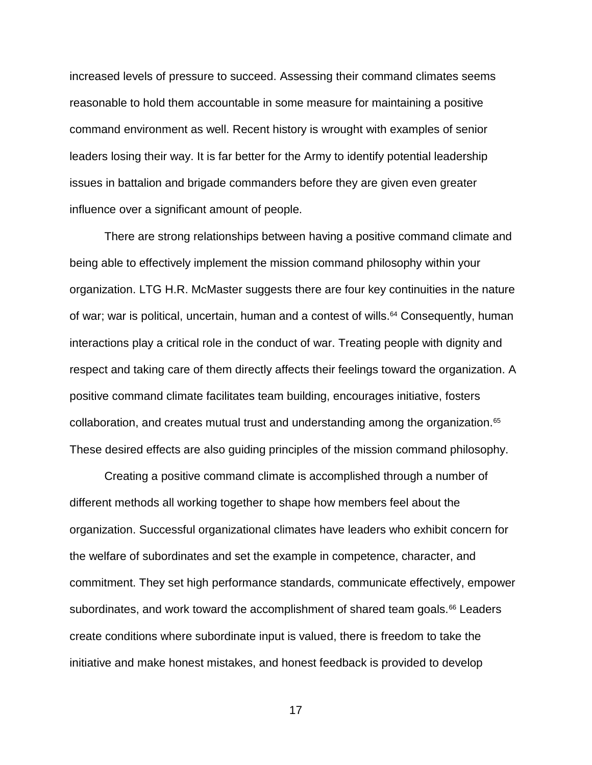increased levels of pressure to succeed. Assessing their command climates seems reasonable to hold them accountable in some measure for maintaining a positive command environment as well. Recent history is wrought with examples of senior leaders losing their way. It is far better for the Army to identify potential leadership issues in battalion and brigade commanders before they are given even greater influence over a significant amount of people.

There are strong relationships between having a positive command climate and being able to effectively implement the mission command philosophy within your organization. LTG H.R. McMaster suggests there are four key continuities in the nature of war; war is political, uncertain, human and a contest of wills.<sup>64</sup> Consequently, human interactions play a critical role in the conduct of war. Treating people with dignity and respect and taking care of them directly affects their feelings toward the organization. A positive command climate facilitates team building, encourages initiative, fosters collaboration, and creates mutual trust and understanding among the organization. $65$ These desired effects are also guiding principles of the mission command philosophy.

Creating a positive command climate is accomplished through a number of different methods all working together to shape how members feel about the organization. Successful organizational climates have leaders who exhibit concern for the welfare of subordinates and set the example in competence, character, and commitment. They set high performance standards, communicate effectively, empower subordinates, and work toward the accomplishment of shared team goals.<sup>66</sup> Leaders create conditions where subordinate input is valued, there is freedom to take the initiative and make honest mistakes, and honest feedback is provided to develop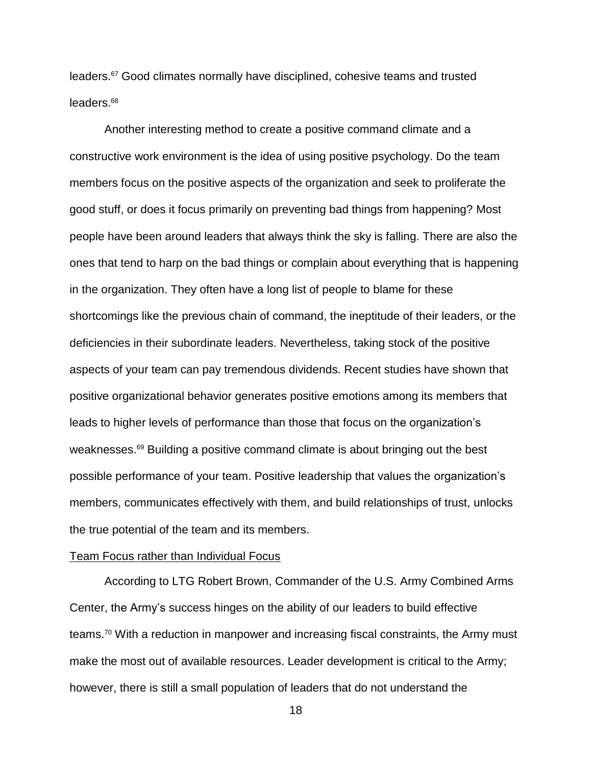leaders.<sup>67</sup> Good climates normally have disciplined, cohesive teams and trusted leaders.<sup>68</sup>

Another interesting method to create a positive command climate and a constructive work environment is the idea of using positive psychology. Do the team members focus on the positive aspects of the organization and seek to proliferate the good stuff, or does it focus primarily on preventing bad things from happening? Most people have been around leaders that always think the sky is falling. There are also the ones that tend to harp on the bad things or complain about everything that is happening in the organization. They often have a long list of people to blame for these shortcomings like the previous chain of command, the ineptitude of their leaders, or the deficiencies in their subordinate leaders. Nevertheless, taking stock of the positive aspects of your team can pay tremendous dividends. Recent studies have shown that positive organizational behavior generates positive emotions among its members that leads to higher levels of performance than those that focus on the organization's weaknesses.<sup>69</sup> Building a positive command climate is about bringing out the best possible performance of your team. Positive leadership that values the organization's members, communicates effectively with them, and build relationships of trust, unlocks the true potential of the team and its members.

#### Team Focus rather than Individual Focus

According to LTG Robert Brown, Commander of the U.S. Army Combined Arms Center, the Army's success hinges on the ability of our leaders to build effective teams.<sup>70</sup> With a reduction in manpower and increasing fiscal constraints, the Army must make the most out of available resources. Leader development is critical to the Army; however, there is still a small population of leaders that do not understand the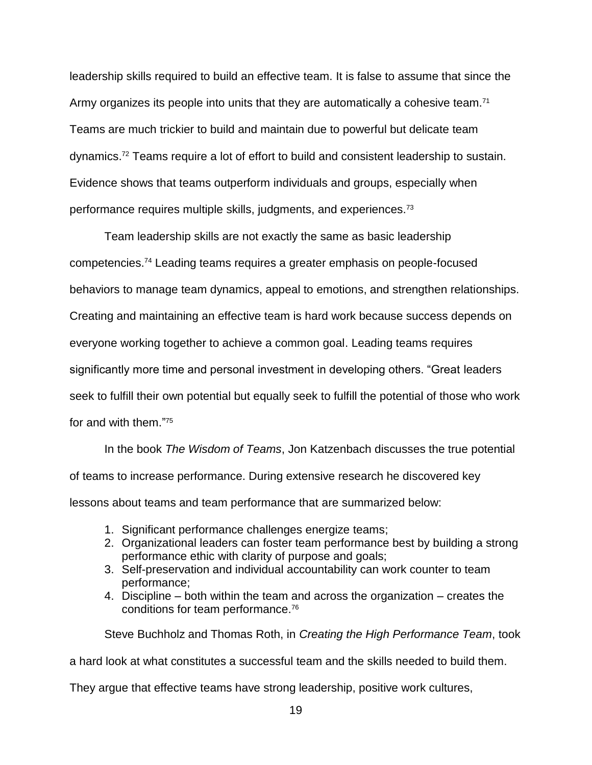leadership skills required to build an effective team. It is false to assume that since the Army organizes its people into units that they are automatically a cohesive team.<sup>71</sup> Teams are much trickier to build and maintain due to powerful but delicate team dynamics.<sup>72</sup> Teams require a lot of effort to build and consistent leadership to sustain. Evidence shows that teams outperform individuals and groups, especially when performance requires multiple skills, judgments, and experiences.<sup>73</sup>

Team leadership skills are not exactly the same as basic leadership competencies.<sup>74</sup> Leading teams requires a greater emphasis on people-focused behaviors to manage team dynamics, appeal to emotions, and strengthen relationships. Creating and maintaining an effective team is hard work because success depends on everyone working together to achieve a common goal. Leading teams requires significantly more time and personal investment in developing others. "Great leaders seek to fulfill their own potential but equally seek to fulfill the potential of those who work for and with them." 75

In the book *The Wisdom of Teams*, Jon Katzenbach discusses the true potential of teams to increase performance. During extensive research he discovered key lessons about teams and team performance that are summarized below:

- 1. Significant performance challenges energize teams;
- 2. Organizational leaders can foster team performance best by building a strong performance ethic with clarity of purpose and goals;
- 3. Self-preservation and individual accountability can work counter to team performance;
- 4. Discipline both within the team and across the organization creates the conditions for team performance.<sup>76</sup>

Steve Buchholz and Thomas Roth, in *Creating the High Performance Team*, took

a hard look at what constitutes a successful team and the skills needed to build them.

They argue that effective teams have strong leadership, positive work cultures,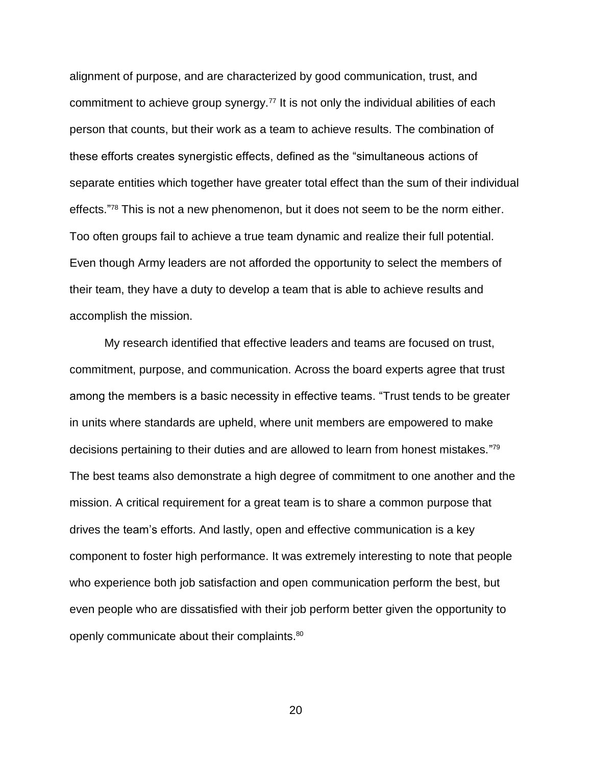alignment of purpose, and are characterized by good communication, trust, and commitment to achieve group synergy.<sup>77</sup> It is not only the individual abilities of each person that counts, but their work as a team to achieve results. The combination of these efforts creates synergistic effects, defined as the "simultaneous actions of separate entities which together have greater total effect than the sum of their individual effects."<sup>78</sup> This is not a new phenomenon, but it does not seem to be the norm either. Too often groups fail to achieve a true team dynamic and realize their full potential. Even though Army leaders are not afforded the opportunity to select the members of their team, they have a duty to develop a team that is able to achieve results and accomplish the mission.

My research identified that effective leaders and teams are focused on trust, commitment, purpose, and communication. Across the board experts agree that trust among the members is a basic necessity in effective teams. "Trust tends to be greater in units where standards are upheld, where unit members are empowered to make decisions pertaining to their duties and are allowed to learn from honest mistakes."<sup>79</sup> The best teams also demonstrate a high degree of commitment to one another and the mission. A critical requirement for a great team is to share a common purpose that drives the team's efforts. And lastly, open and effective communication is a key component to foster high performance. It was extremely interesting to note that people who experience both job satisfaction and open communication perform the best, but even people who are dissatisfied with their job perform better given the opportunity to openly communicate about their complaints.<sup>80</sup>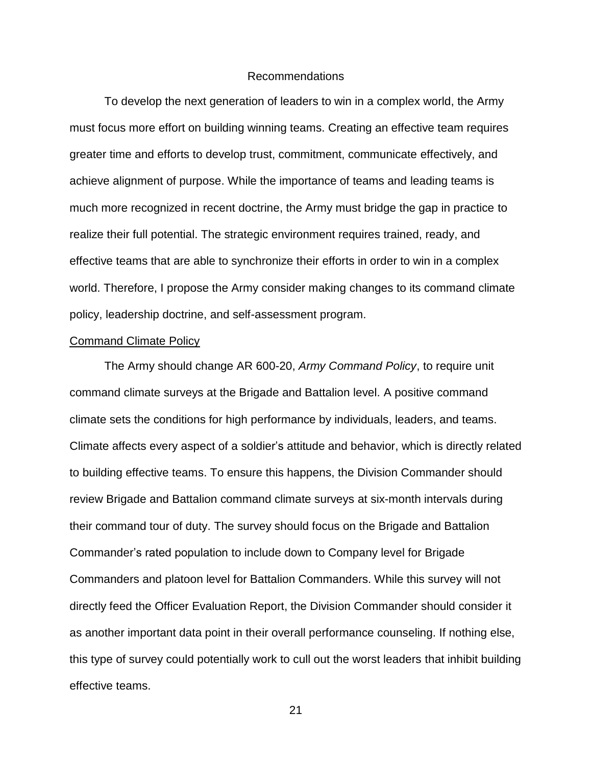#### Recommendations

To develop the next generation of leaders to win in a complex world, the Army must focus more effort on building winning teams. Creating an effective team requires greater time and efforts to develop trust, commitment, communicate effectively, and achieve alignment of purpose. While the importance of teams and leading teams is much more recognized in recent doctrine, the Army must bridge the gap in practice to realize their full potential. The strategic environment requires trained, ready, and effective teams that are able to synchronize their efforts in order to win in a complex world. Therefore, I propose the Army consider making changes to its command climate policy, leadership doctrine, and self-assessment program.

#### Command Climate Policy

The Army should change AR 600-20, *Army Command Policy*, to require unit command climate surveys at the Brigade and Battalion level. A positive command climate sets the conditions for high performance by individuals, leaders, and teams. Climate affects every aspect of a soldier's attitude and behavior, which is directly related to building effective teams. To ensure this happens, the Division Commander should review Brigade and Battalion command climate surveys at six-month intervals during their command tour of duty. The survey should focus on the Brigade and Battalion Commander's rated population to include down to Company level for Brigade Commanders and platoon level for Battalion Commanders. While this survey will not directly feed the Officer Evaluation Report, the Division Commander should consider it as another important data point in their overall performance counseling. If nothing else, this type of survey could potentially work to cull out the worst leaders that inhibit building effective teams.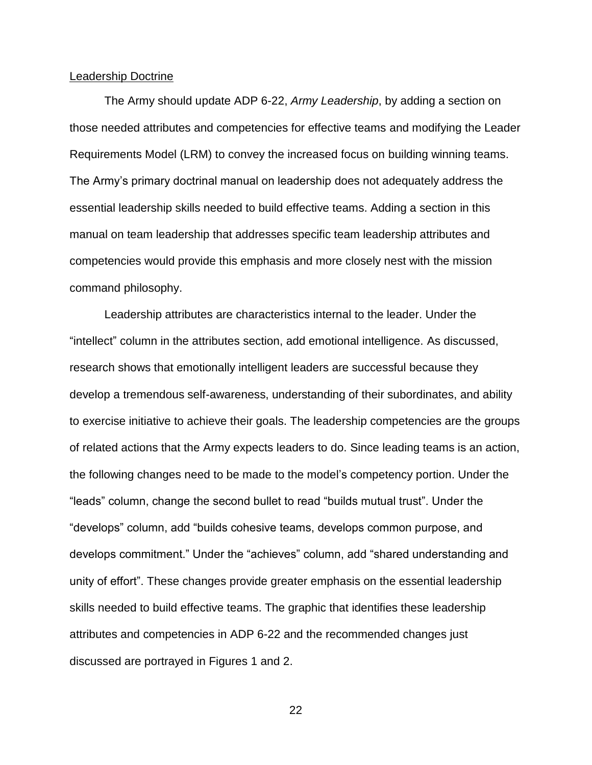#### Leadership Doctrine

The Army should update ADP 6-22, *Army Leadership*, by adding a section on those needed attributes and competencies for effective teams and modifying the Leader Requirements Model (LRM) to convey the increased focus on building winning teams. The Army's primary doctrinal manual on leadership does not adequately address the essential leadership skills needed to build effective teams. Adding a section in this manual on team leadership that addresses specific team leadership attributes and competencies would provide this emphasis and more closely nest with the mission command philosophy.

Leadership attributes are characteristics internal to the leader. Under the "intellect" column in the attributes section, add emotional intelligence. As discussed, research shows that emotionally intelligent leaders are successful because they develop a tremendous self-awareness, understanding of their subordinates, and ability to exercise initiative to achieve their goals. The leadership competencies are the groups of related actions that the Army expects leaders to do. Since leading teams is an action, the following changes need to be made to the model's competency portion. Under the "leads" column, change the second bullet to read "builds mutual trust". Under the "develops" column, add "builds cohesive teams, develops common purpose, and develops commitment." Under the "achieves" column, add "shared understanding and unity of effort". These changes provide greater emphasis on the essential leadership skills needed to build effective teams. The graphic that identifies these leadership attributes and competencies in ADP 6-22 and the recommended changes just discussed are portrayed in Figures 1 and 2.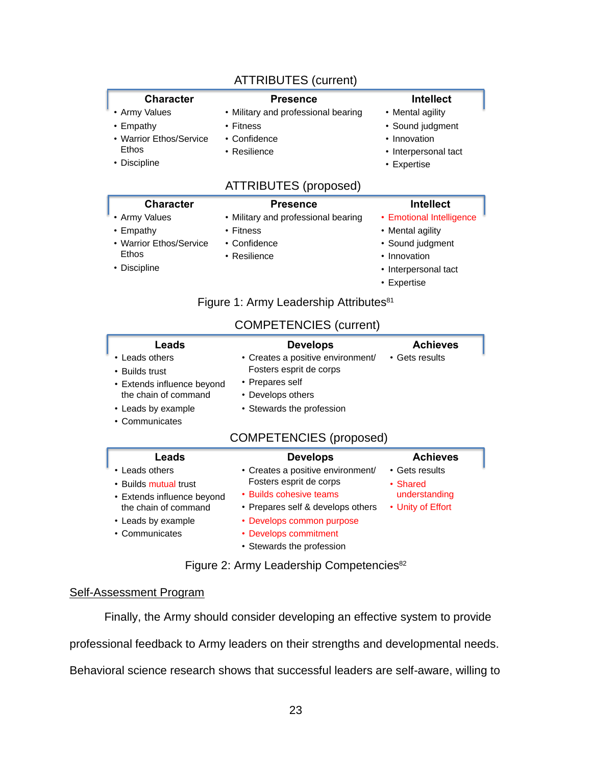# ATTRIBUTES (current)

**Presence** • Military and professional bearing

### **Character**

• Army Values

• Empathy

Ethos • Discipline

- Fitness
- Warrior Ethos/Service • Confidence
	- Resilience

# ATTRIBUTES (proposed)

#### **Presence**

• Army Values

**Character**

- Military and professional bearing
- -
- Warrior Ethos/Service **Ethos**
- Discipline

• Empathy

- Fitness
- Confidence
- Resilience

# **Intellect**

- Mental agility
- Sound judgment
- Innovation
- Interpersonal tact
- Expertise

# **Intellect**

- Emotional Intelligence
- Mental agility
- Sound judgment
- Innovation
- Interpersonal tact

• Gets results

• Expertise

Figure 1: Army Leadership Attributes<sup>81</sup>

# COMPETENCIES (current)

**Develops** 

# **Leads**

• Leads others

#### • Creates a positive environment/

- Builds trust
- Prepares self
- Develops others
- Leads by example

**Leads** 

• Extends influence beyond the chain of command

• Extends influence beyond the chain of command

• Stewards the profession

Fosters esprit de corps

• Communicates

• Leads others • Builds mutual trust COMPETENCIES (proposed)

• Creates a positive environment/ Fosters esprit de corps • Builds cohesive teams

• Prepares self & develops others

# **Develops**

# **Achieves**

- Gets results
- 
- 
- 
- Leads by example • Communicates
- Develops commitment
- Stewards the profession

Figure 2: Army Leadership Competencies<sup>82</sup>

## Self-Assessment Program

Finally, the Army should consider developing an effective system to provide

professional feedback to Army leaders on their strengths and developmental needs.

Behavioral science research shows that successful leaders are self-aware, willing to

**Achieves** 

- 
- Shared
- understanding
- Unity of Effort
- Develops common purpose
-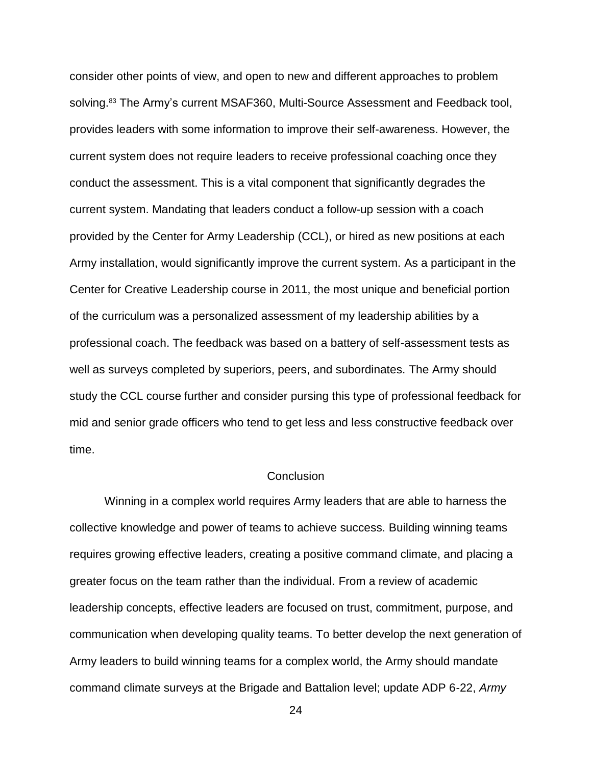consider other points of view, and open to new and different approaches to problem solving.<sup>83</sup> The Army's current MSAF360, Multi-Source Assessment and Feedback tool, provides leaders with some information to improve their self-awareness. However, the current system does not require leaders to receive professional coaching once they conduct the assessment. This is a vital component that significantly degrades the current system. Mandating that leaders conduct a follow-up session with a coach provided by the Center for Army Leadership (CCL), or hired as new positions at each Army installation, would significantly improve the current system. As a participant in the Center for Creative Leadership course in 2011, the most unique and beneficial portion of the curriculum was a personalized assessment of my leadership abilities by a professional coach. The feedback was based on a battery of self-assessment tests as well as surveys completed by superiors, peers, and subordinates. The Army should study the CCL course further and consider pursing this type of professional feedback for mid and senior grade officers who tend to get less and less constructive feedback over time.

### **Conclusion**

Winning in a complex world requires Army leaders that are able to harness the collective knowledge and power of teams to achieve success. Building winning teams requires growing effective leaders, creating a positive command climate, and placing a greater focus on the team rather than the individual. From a review of academic leadership concepts, effective leaders are focused on trust, commitment, purpose, and communication when developing quality teams. To better develop the next generation of Army leaders to build winning teams for a complex world, the Army should mandate command climate surveys at the Brigade and Battalion level; update ADP 6-22, *Army*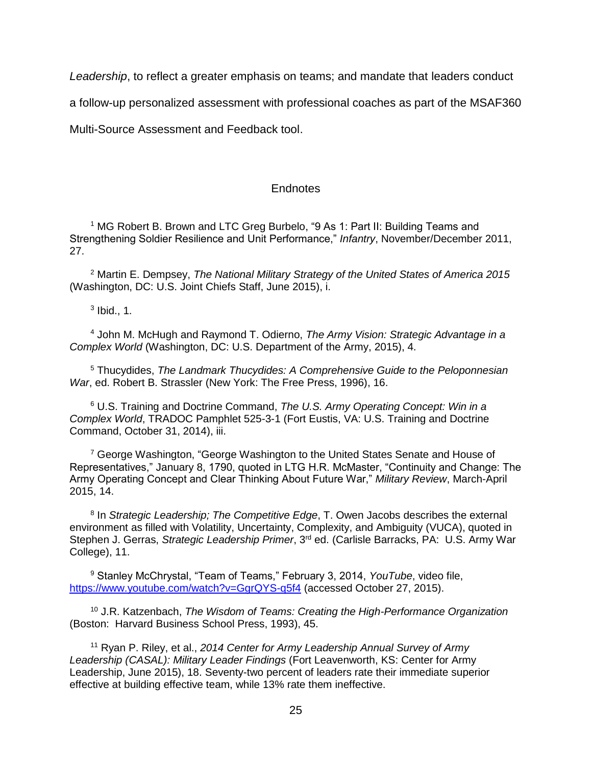*Leadership*, to reflect a greater emphasis on teams; and mandate that leaders conduct

a follow-up personalized assessment with professional coaches as part of the MSAF360

Multi-Source Assessment and Feedback tool.

# **Endnotes**

<sup>1</sup> MG Robert B. Brown and LTC Greg Burbelo, "9 As 1: Part II: Building Teams and Strengthening Soldier Resilience and Unit Performance," *Infantry*, November/December 2011, 27.

<sup>2</sup> Martin E. Dempsey, *The National Military Strategy of the United States of America 2015*  (Washington, DC: U.S. Joint Chiefs Staff, June 2015), i.

 $3$  Ibid., 1.

<sup>4</sup> John M. McHugh and Raymond T. Odierno, *The Army Vision: Strategic Advantage in a Complex World* (Washington, DC: U.S. Department of the Army, 2015), 4.

<sup>5</sup> Thucydides, *The Landmark Thucydides: A Comprehensive Guide to the Peloponnesian War*, ed. Robert B. Strassler (New York: The Free Press, 1996), 16.

<sup>6</sup> U.S. Training and Doctrine Command, *The U.S. Army Operating Concept: Win in a Complex World*, TRADOC Pamphlet 525-3-1 (Fort Eustis, VA: U.S. Training and Doctrine Command, October 31, 2014), iii.

<sup>7</sup> George Washington, "George Washington to the United States Senate and House of Representatives," January 8, 1790, quoted in LTG H.R. McMaster, "Continuity and Change: The Army Operating Concept and Clear Thinking About Future War," *Military Review*, March-April 2015, 14.

<sup>8</sup> In *Strategic Leadership; The Competitive Edge*, T. Owen Jacobs describes the external environment as filled with Volatility, Uncertainty, Complexity, and Ambiguity (VUCA), quoted in Stephen J. Gerras, *Strategic Leadership Primer*, 3rd ed. (Carlisle Barracks, PA: U.S. Army War College), 11.

<sup>9</sup> Stanley McChrystal, "Team of Teams," February 3, 2014, *YouTube*, video file, <https://www.youtube.com/watch?v=GgrQYS-q5f4> (accessed October 27, 2015).

<sup>10</sup> J.R. Katzenbach, *The Wisdom of Teams: Creating the High-Performance Organization* (Boston: Harvard Business School Press, 1993), 45.

<sup>11</sup> Ryan P. Riley, et al., *2014 Center for Army Leadership Annual Survey of Army Leadership (CASAL): Military Leader Findings* (Fort Leavenworth, KS: Center for Army Leadership, June 2015), 18. Seventy-two percent of leaders rate their immediate superior effective at building effective team, while 13% rate them ineffective.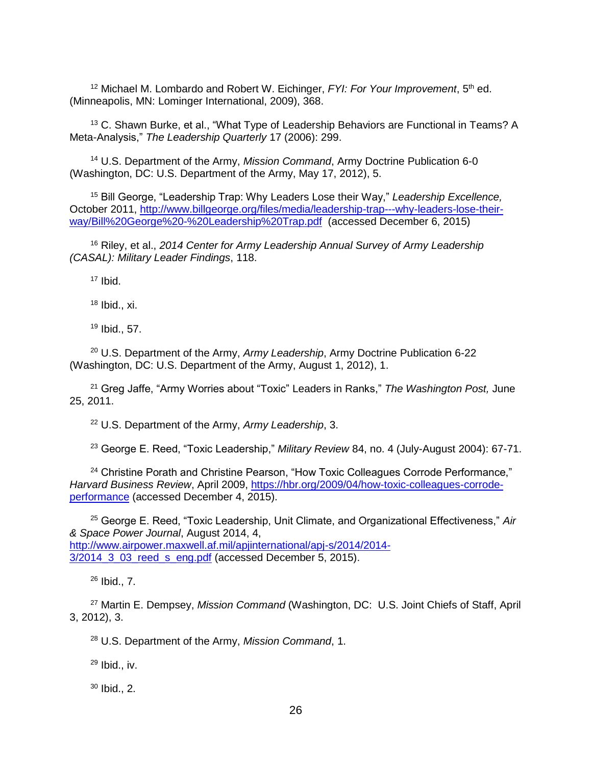<sup>12</sup> Michael M. Lombardo and Robert W. Eichinger, *FYI: For Your Improvement*, 5<sup>th</sup> ed. (Minneapolis, MN: Lominger International, 2009), 368.

<sup>13</sup> C. Shawn Burke, et al., "What Type of Leadership Behaviors are Functional in Teams? A Meta-Analysis," *The Leadership Quarterly* 17 (2006): 299.

<sup>14</sup> U.S. Department of the Army, *Mission Command*, Army Doctrine Publication 6-0 (Washington, DC: U.S. Department of the Army, May 17, 2012), 5.

<sup>15</sup> Bill George, "Leadership Trap: Why Leaders Lose their Way," *Leadership Excellence,*  October 2011, [http://www.billgeorge.org/files/media/leadership-trap---why-leaders-lose-their](http://www.billgeorge.org/files/media/leadership-trap---why-leaders-lose-their-way/Bill%20George%20-%20Leadership%20Trap.pdf)[way/Bill%20George%20-%20Leadership%20Trap.pdf](http://www.billgeorge.org/files/media/leadership-trap---why-leaders-lose-their-way/Bill%20George%20-%20Leadership%20Trap.pdf) (accessed December 6, 2015)

<sup>16</sup> Riley, et al., *2014 Center for Army Leadership Annual Survey of Army Leadership (CASAL): Military Leader Findings*, 118.

 $17$  Ibid.

 $18$  Ibid., xi.

<sup>19</sup> Ibid., 57.

<sup>20</sup> U.S. Department of the Army, *Army Leadership*, Army Doctrine Publication 6-22 (Washington, DC: U.S. Department of the Army, August 1, 2012), 1.

<sup>21</sup> Greg Jaffe, "Army Worries about "Toxic" Leaders in Ranks," *The Washington Post,* June 25, 2011.

<sup>22</sup> U.S. Department of the Army, *Army Leadership*, 3.

<sup>23</sup> George E. Reed, "Toxic Leadership," *Military Review* 84, no. 4 (July-August 2004): 67-71.

<sup>24</sup> Christine Porath and Christine Pearson, "How Toxic Colleagues Corrode Performance," *Harvard Business Review*, April 2009, [https://hbr.org/2009/04/how-toxic-colleagues-corrode](https://hbr.org/2009/04/how-toxic-colleagues-corrode-performance)[performance](https://hbr.org/2009/04/how-toxic-colleagues-corrode-performance) (accessed December 4, 2015).

<sup>25</sup> George E. Reed, "Toxic Leadership, Unit Climate, and Organizational Effectiveness," *Air & Space Power Journal*, August 2014, 4, [http://www.airpower.maxwell.af.mil/apjinternational/apj-s/2014/2014-](http://www.airpower.maxwell.af.mil/apjinternational/apj-s/2014/2014-3/2014_3_03_reed_s_eng.pdf) [3/2014\\_3\\_03\\_reed\\_s\\_eng.pdf](http://www.airpower.maxwell.af.mil/apjinternational/apj-s/2014/2014-3/2014_3_03_reed_s_eng.pdf) (accessed December 5, 2015).

 $26$  Ibid.,  $7<sub>1</sub>$ 

<sup>27</sup> Martin E. Dempsey, *Mission Command* (Washington, DC: U.S. Joint Chiefs of Staff, April 3, 2012), 3.

<sup>28</sup> U.S. Department of the Army, *Mission Command*, 1.

 $29$  Ibid., iv.

 $30$  Ibid., 2.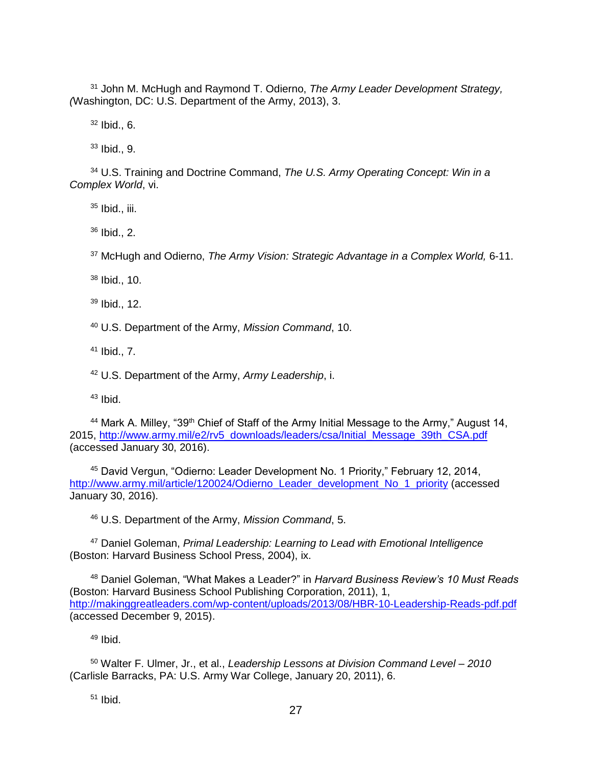John M. McHugh and Raymond T. Odierno, *The Army Leader Development Strategy, (*Washington, DC: U.S. Department of the Army, 2013), 3.

Ibid., 6.

Ibid., 9.

 U.S. Training and Doctrine Command, *The U.S. Army Operating Concept: Win in a Complex World*, vi.

Ibid., iii.

Ibid., 2.

McHugh and Odierno, *The Army Vision: Strategic Advantage in a Complex World,* 6-11.

Ibid., 10.

Ibid., 12.

U.S. Department of the Army, *Mission Command*, 10.

Ibid., 7.

U.S. Department of the Army, *Army Leadership*, i.

Ibid.

 Mark A. Milley, "39<sup>th</sup> Chief of Staff of the Army Initial Message to the Army," August 14, 2015, [http://www.army.mil/e2/rv5\\_downloads/leaders/csa/Initial\\_Message\\_39th\\_CSA.pdf](http://www.army.mil/e2/rv5_downloads/leaders/csa/Initial_Message_39th_CSA.pdf) (accessed January 30, 2016).

<sup>45</sup> David Vergun, "Odierno: Leader Development No. 1 Priority," February 12, 2014, [http://www.army.mil/article/120024/Odierno\\_Leader\\_development\\_No\\_1\\_priority](http://www.army.mil/article/120024/Odierno_Leader_development_No_1_priority) (accessed January 30, 2016).

U.S. Department of the Army, *Mission Command*, 5.

 Daniel Goleman, *Primal Leadership: Learning to Lead with Emotional Intelligence*  (Boston: Harvard Business School Press, 2004), ix.

 Daniel Goleman, "What Makes a Leader?" in *Harvard Business Review's 10 Must Reads* (Boston: Harvard Business School Publishing Corporation, 2011), 1, <http://makinggreatleaders.com/wp-content/uploads/2013/08/HBR-10-Leadership-Reads-pdf.pdf> (accessed December 9, 2015).

Ibid.

 Walter F. Ulmer, Jr., et al., *Leadership Lessons at Division Command Level – 2010* (Carlisle Barracks, PA: U.S. Army War College, January 20, 2011), 6.

Ibid.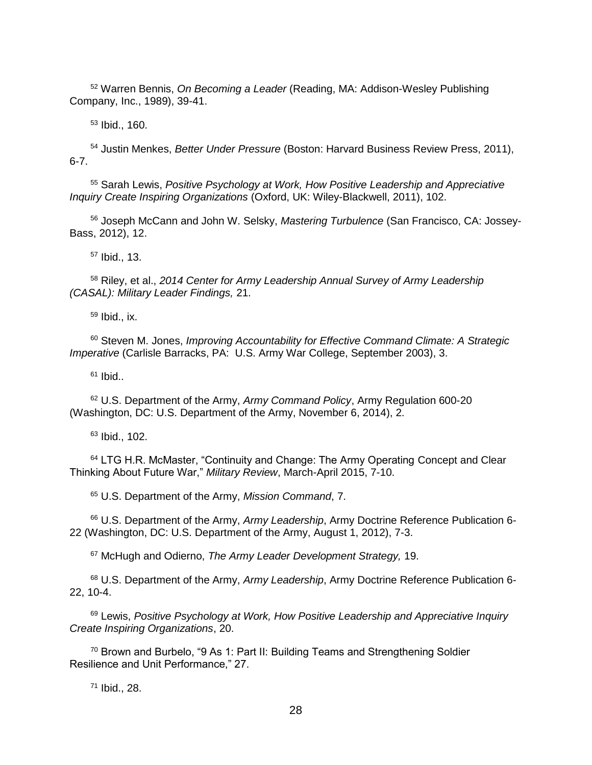Warren Bennis, *On Becoming a Leader* (Reading, MA: Addison-Wesley Publishing Company, Inc., 1989), 39-41.

Ibid., 160.

 Justin Menkes, *Better Under Pressure* (Boston: Harvard Business Review Press, 2011), 6-7.

 Sarah Lewis, *Positive Psychology at Work, How Positive Leadership and Appreciative Inquiry Create Inspiring Organizations* (Oxford, UK: Wiley-Blackwell, 2011), 102.

 Joseph McCann and John W. Selsky, *Mastering Turbulence* (San Francisco, CA: Jossey-Bass, 2012), 12.

Ibid., 13.

 Riley, et al., *2014 Center for Army Leadership Annual Survey of Army Leadership (CASAL): Military Leader Findings,* 21.

Ibid., ix.

 Steven M. Jones, *Improving Accountability for Effective Command Climate: A Strategic Imperative* (Carlisle Barracks, PA: U.S. Army War College, September 2003), 3.

Ibid..

 U.S. Department of the Army, *Army Command Policy*, Army Regulation 600-20 (Washington, DC: U.S. Department of the Army, November 6, 2014), 2.

Ibid., 102.

<sup>64</sup> LTG H.R. McMaster, "Continuity and Change: The Army Operating Concept and Clear Thinking About Future War," *Military Review*, March-April 2015, 7-10.

U.S. Department of the Army, *Mission Command*, 7.

 U.S. Department of the Army, *Army Leadership*, Army Doctrine Reference Publication 6- 22 (Washington, DC: U.S. Department of the Army, August 1, 2012), 7-3.

McHugh and Odierno, *The Army Leader Development Strategy,* 19.

 U.S. Department of the Army, *Army Leadership*, Army Doctrine Reference Publication 6- 22, 10-4.

 Lewis, *Positive Psychology at Work, How Positive Leadership and Appreciative Inquiry Create Inspiring Organizations*, 20.

 Brown and Burbelo, "9 As 1: Part II: Building Teams and Strengthening Soldier Resilience and Unit Performance," 27.

Ibid., 28.